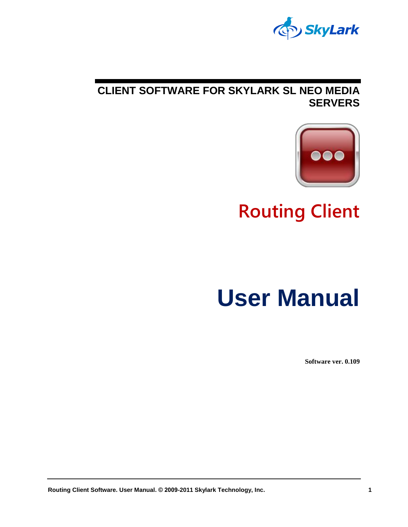

#### **CLIENT SOFTWARE FOR SKYLARK SL NEO MEDIA SERVERS**



**Routing Client**

# **User Manual**

**Software ver. 0.109**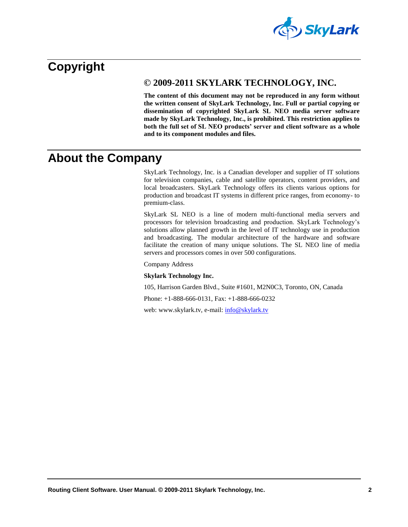

### <span id="page-1-0"></span>**Copyright**

#### **© 2009-2011 SKYLARK TECHNOLOGY, INC.**

**The content of this document may not be reproduced in any form without the written consent of SkyLark Technology, Inc. Full or partial copying or dissemination of copyrighted SkyLark SL NEO media server software made by SkyLark Technology, Inc., is prohibited. This restriction applies to both the full set of SL NEO products' server and client software as a whole and to its component modules and files.**

#### <span id="page-1-1"></span>**About the Company**

SkyLark Technology, Inc. is a Canadian developer and supplier of IT solutions for television companies, cable and satellite operators, content providers, and local broadcasters. SkyLark Technology offers its clients various options for production and broadcast IT systems in different price ranges, from economy- to premium-class.

SkyLark SL NEO is a line of modern multi-functional media servers and processors for television broadcasting and production. SkyLark Technology's solutions allow planned growth in the level of IT technology use in production and broadcasting. The modular architecture of the hardware and software facilitate the creation of many unique solutions. The SL NEO line of media servers and processors comes in over 500 configurations.

Company Address

#### **Skylark Technology Inc.**

105, Harrison Garden Blvd., Suite #1601, M2N0C3, Toronto, ON, Canada

Phone: +1-888-666-0131, Fax: +1-888-666-0232

web: www.skylark.tv, e-mail[: info@skylark.tv](mailto:info@skylark.tv)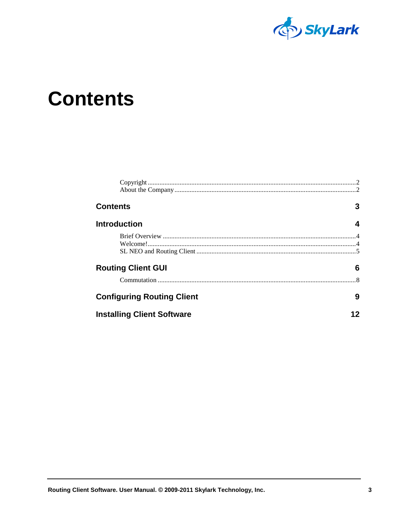

### <span id="page-2-0"></span>**Contents**

| <b>Contents</b>                   | 3 |  |  |
|-----------------------------------|---|--|--|
| <b>Introduction</b>               | 4 |  |  |
|                                   |   |  |  |
|                                   |   |  |  |
| <b>Routing Client GUI</b>         | 6 |  |  |
|                                   |   |  |  |
| <b>Configuring Routing Client</b> | 9 |  |  |
| <b>Installing Client Software</b> |   |  |  |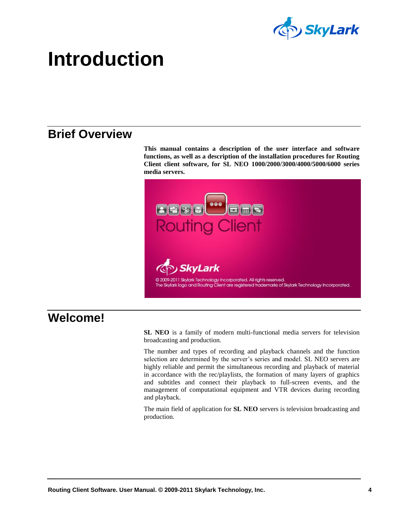

### <span id="page-3-0"></span>**Introduction**

### <span id="page-3-1"></span>**Brief Overview**

**This manual contains a description of the user interface and software functions, as well as a description of the installation procedures for Routing Client client software, for SL NEO 1000/2000/3000/4000/5000/6000 series media servers.**



#### <span id="page-3-2"></span>**Welcome!**

**SL NEO** is a family of modern multi-functional media servers for television broadcasting and production.

The number and types of recording and playback channels and the function selection are determined by the server's series and model. SL NEO servers are highly reliable and permit the simultaneous recording and playback of material in accordance with the rec/playlists, the formation of many layers of graphics and subtitles and connect their playback to full-screen events, and the management of computational equipment and VTR devices during recording and playback.

The main field of application for **SL NEO** servers is television broadcasting and production.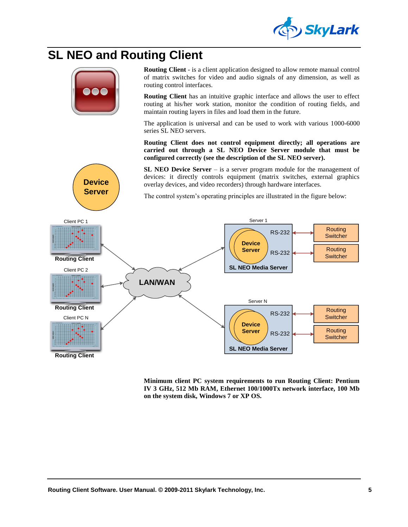

### <span id="page-4-0"></span>**SL NEO and Routing Client**



**Device Server** **Routing Client** - is a client application designed to allow remote manual control of matrix switches for video and audio signals of any dimension, as well as routing control interfaces.

**Routing Client** has an intuitive graphic interface and allows the user to effect routing at his/her work station, monitor the condition of routing fields, and maintain routing layers in files and load them in the future.

The application is universal and can be used to work with various 1000-6000 series SL NEO servers.

**Routing Client does not control equipment directly; all operations are carried out through a SL NEO Device Server module that must be configured correctly (see the description of the SL NEO server).**

**SL NEO Device Server** – is a server program module for the management of devices: it directly controls equipment (matrix switches, external graphics overlay devices, and video recorders) through hardware interfaces.

The control system's operating principles are illustrated in the figure below:



**Minimum client PC system requirements to run Routing Client: Pentium IV 3 GHz, 512 Mb RAM, Ethernet 100/1000Tx network interface, 100 Mb on the system disk, Windows 7 or XP OS.**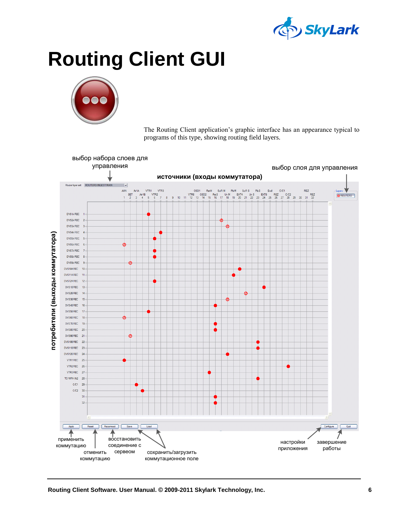

## <span id="page-5-0"></span>**Routing Client GUI**



The Routing Client application's graphic interface has an appearance typical to programs of this type, showing routing field layers.

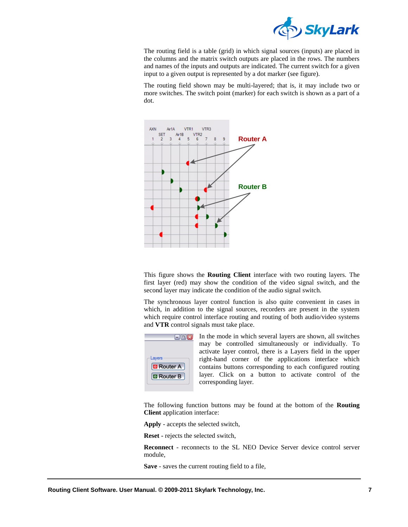

The routing field is a table (grid) in which signal sources (inputs) are placed in the columns and the matrix switch outputs are placed in the rows. The numbers and names of the inputs and outputs are indicated. The current switch for a given input to a given output is represented by a dot marker (see figure).

The routing field shown may be multi-layered; that is, it may include two or more switches. The switch point (marker) for each switch is shown as a part of a dot.



This figure shows the **Routing Client** interface with two routing layers. The first layer (red) may show the condition of the video signal switch, and the second layer may indicate the condition of the audio signal switch.

The synchronous layer control function is also quite convenient in cases in which, in addition to the signal sources, recorders are present in the system which require control interface routing and routing of both audio/video systems and **VTR** control signals must take place.



In the mode in which several layers are shown, all switches may be controlled simultaneously or individually. To activate layer control, there is a Layers field in the upper right-hand corner of the applications interface which contains buttons corresponding to each configured routing layer. Click on a button to activate control of the corresponding layer.

The following function buttons may be found at the bottom of the **Routing Client** application interface:

**Apply** - accepts the selected switch,

**Reset -** rejects the selected switch,

**Reconnect** - reconnects to the SL NEO Device Server device control server module,

**Save** - saves the current routing field to a file,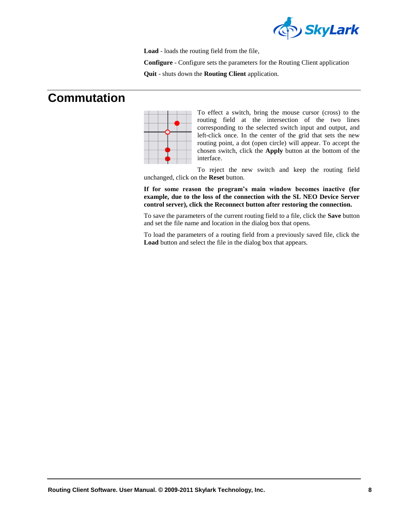

**Load** - loads the routing field from the file,

**Configure** - Configure sets the parameters for the Routing Client application

**Quit** - shuts down the **Routing Client** application.

### <span id="page-7-0"></span>**Commutation**



To effect a switch, bring the mouse cursor (cross) to the routing field at the intersection of the two lines corresponding to the selected switch input and output, and left-click once. In the center of the grid that sets the new routing point, a dot (open circle) will appear. To accept the chosen switch, click the **Apply** button at the bottom of the interface.

To reject the new switch and keep the routing field unchanged, click on the **Reset** button.

**If for some reason the program's main window becomes inactive (for example, due to the loss of the connection with the SL NEO Device Server control server), click the Reconnect button after restoring the connection.**

To save the parameters of the current routing field to a file, click the **Save** button and set the file name and location in the dialog box that opens.

To load the parameters of a routing field from a previously saved file, click the **Load** button and select the file in the dialog box that appears.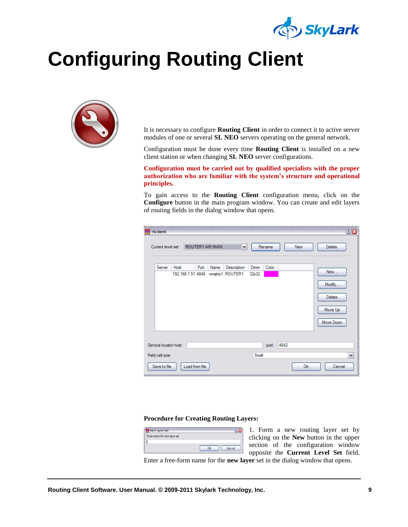

## <span id="page-8-0"></span>**Configuring Routing Client**



It is necessary to configure **Routing Client** in order to connect it to active server modules of one or several **SL NEO** servers operating on the general network.

Configuration must be done every time **Routing Client** is installed on a new client station or when changing **SL NEO** server configurations.

**Configuration must be carried out by qualified specialists with the proper authorization who are familiar with the system's structure and operational principles.**

To gain access to the **Routing Client** configuration menu, click on the **Configure** button in the main program window. You can create and edit layers of routing fields in the dialog window that opens.

| rtclient<br>28                                                                                                                                                             |
|----------------------------------------------------------------------------------------------------------------------------------------------------------------------------|
| ROUTER1 AIR MAIN<br>Current level set:<br>Delete<br>Rename<br>New<br>v                                                                                                     |
| Server<br>Color<br>Host<br>Port<br>Description<br>Dimm<br>Name<br>New<br>192.168.1.51 4848<br>vmatrix1 ROUTER1<br>32x32<br>Modify<br><b>Delete</b><br>Move Up<br>Move Down |
| 4642<br>Service locator host:<br>port:                                                                                                                                     |
| Small<br>Field cell size:<br>v                                                                                                                                             |
| Save to file<br>Load from file<br>0k<br>Cancel                                                                                                                             |

#### **Procedure for Creating Routing Layers:**



1. Form a new routing layer set by clicking on the **New** button in the upper section of the configuration window opposite the **Current Level Set** field.

Enter a free-form name for the **new layer** set in the dialog window that opens.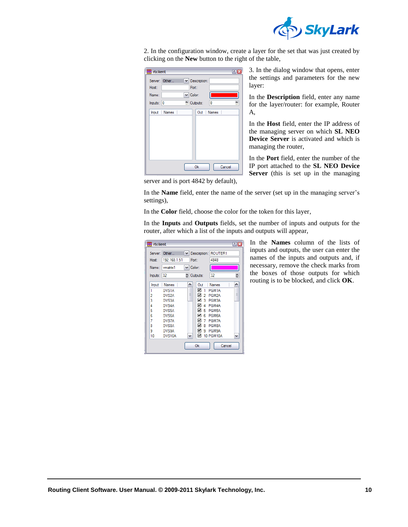

2. In the configuration window, create a layer for the set that was just created by clicking on the **New** button to the right of the table,

| <b>Red</b> rtclient |               |                     | 7      |
|---------------------|---------------|---------------------|--------|
|                     | Server: Other | $\vee$ Description: |        |
| Host:               |               | Port:               |        |
| Name:               |               | $\vee$ Color:       |        |
| Inputs: $ 0$        |               | Outputs:            | 10     |
|                     | Input Names   | Out Names           |        |
|                     |               | 0k                  | Cancel |

3. In the dialog window that opens, enter the settings and parameters for the new layer:

In the **Description** field, enter any name for the layer/router: for example, Router A,

In the **Host** field, enter the IP address of the managing server on which **SL NEO Device Server** is activated and which is managing the router,

In the **Port** field, enter the number of the IP port attached to the **SL NEO Device Server** (this is set up in the managing

server and is port 4842 by default),

In the **Name** field, enter the name of the server (set up in the managing server's settings),

In the **Color** field, choose the color for the token for this layer,

In the **Inputs** and **Outputs** fields, set the number of inputs and outputs for the router, after which a list of the inputs and outputs will appear,

| <b>We</b> rtclient                                       |                                                                                                                                  |                                               |                                                                                                    |                                                                                                                                | <b>PIX</b> |
|----------------------------------------------------------|----------------------------------------------------------------------------------------------------------------------------------|-----------------------------------------------|----------------------------------------------------------------------------------------------------|--------------------------------------------------------------------------------------------------------------------------------|------------|
| Host:<br>Name:                                           | Server: Other<br>192.168.1.51<br>vmatrix1                                                                                        | Description: ROUTER1<br>$\checkmark$<br>Port: |                                                                                                    | 4848                                                                                                                           |            |
| Inputs: 32                                               |                                                                                                                                  | $\vee$ Color:<br>₾ Outputs:                   |                                                                                                    | 32                                                                                                                             | Θ          |
| Input<br>1<br>2<br>3<br>4<br>5<br>6<br>7<br>8<br>9<br>10 | <b>Names</b><br>DVS <sub>1</sub> A<br>DVS <sub>2A</sub><br>DVS3A<br>DVS4A<br>DVS5A<br>DVS6A<br>DVS7A<br>DVS8A<br>DVS9A<br>DVS10A | ^<br>≣                                        | Out<br>☑<br>1<br>⊽<br>2<br>⊽<br>3<br>☑<br>Δ<br>⊽<br>5<br>▽<br>Б<br>☑<br>7<br>⊽<br>8<br>⊽<br>9<br>☑ | <b>Names</b><br>PGM1A<br>PGM <sub>2</sub> A<br>PGM3A<br>PGM4A<br>PGM5A<br>PGM6A<br>PGM7A<br>PGM8A<br>PGM9A<br><b>10 PGM10A</b> | ≣          |
|                                                          |                                                                                                                                  |                                               | Ok                                                                                                 | Cancel                                                                                                                         |            |

In the **Names** column of the lists of inputs and outputs, the user can enter the names of the inputs and outputs and, if necessary, remove the check marks from the boxes of those outputs for which routing is to be blocked, and click **OK**.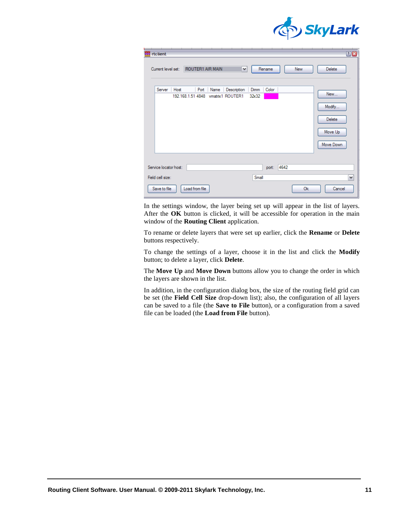

| rtclient                                  |      |                           |      |                                 |               |        |      |            | 28                                                     |
|-------------------------------------------|------|---------------------------|------|---------------------------------|---------------|--------|------|------------|--------------------------------------------------------|
| Current level set:                        |      | ROUTER1 AIR MAIN          |      | ×                               |               | Rename |      | <b>New</b> | <b>Delete</b>                                          |
| Server                                    | Host | Port<br>192.168.1.51 4848 | Name | Description<br>vmatrix1 ROUTER1 | Dimm<br>32x32 | Color  |      |            | New<br>Modify<br><b>Delete</b><br>Move Up<br>Move Down |
| Service locator host:<br>Field cell size: |      |                           |      |                                 | Small         | port:  | 4642 |            | v                                                      |
| Save to file                              |      | Load from file            |      |                                 |               |        |      | 0k         | Cancel                                                 |

In the settings window, the layer being set up will appear in the list of layers. After the **OK** button is clicked, it will be accessible for operation in the main window of the **Routing Client** application.

To rename or delete layers that were set up earlier, click the **Rename** or **Delete** buttons respectively.

To change the settings of a layer, choose it in the list and click the **Modify** button; to delete a layer, click **Delete**.

The **Move Up** and **Move Down** buttons allow you to change the order in which the layers are shown in the list.

In addition, in the configuration dialog box, the size of the routing field grid can be set (the **Field Cell Size** drop-down list); also, the configuration of all layers can be saved to a file (the **Save to File** button), or a configuration from a saved file can be loaded (the **Load from File** button).